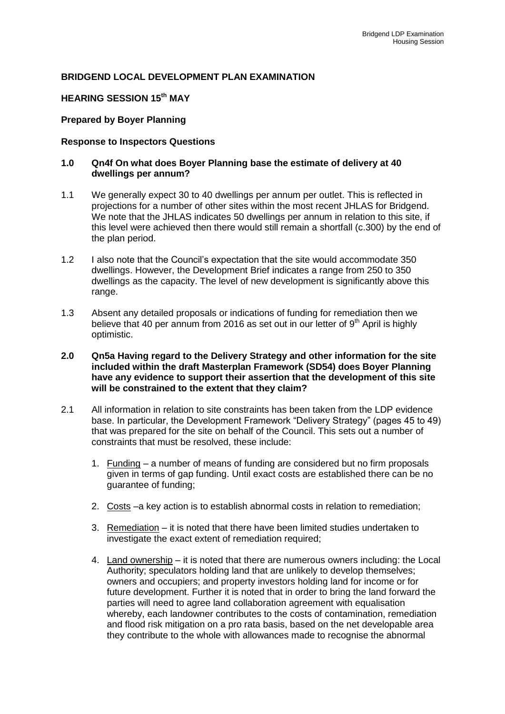## **BRIDGEND LOCAL DEVELOPMENT PLAN EXAMINATION**

# **HEARING SESSION 15th MAY**

## **Prepared by Boyer Planning**

### **Response to Inspectors Questions**

### **1.0 Qn4f On what does Boyer Planning base the estimate of delivery at 40 dwellings per annum?**

- 1.1 We generally expect 30 to 40 dwellings per annum per outlet. This is reflected in projections for a number of other sites within the most recent JHLAS for Bridgend. We note that the JHLAS indicates 50 dwellings per annum in relation to this site, if this level were achieved then there would still remain a shortfall (c.300) by the end of the plan period.
- 1.2 I also note that the Council's expectation that the site would accommodate 350 dwellings. However, the Development Brief indicates a range from 250 to 350 dwellings as the capacity. The level of new development is significantly above this range.
- 1.3 Absent any detailed proposals or indications of funding for remediation then we believe that 40 per annum from 2016 as set out in our letter of  $9<sup>th</sup>$  April is highly optimistic.
- **2.0 Qn5a Having regard to the Delivery Strategy and other information for the site included within the draft Masterplan Framework (SD54) does Boyer Planning have any evidence to support their assertion that the development of this site will be constrained to the extent that they claim?**
- 2.1 All information in relation to site constraints has been taken from the LDP evidence base. In particular, the Development Framework "Delivery Strategy" (pages 45 to 49) that was prepared for the site on behalf of the Council. This sets out a number of constraints that must be resolved, these include:
	- 1. Funding a number of means of funding are considered but no firm proposals given in terms of gap funding. Until exact costs are established there can be no guarantee of funding;
	- 2. Costs –a key action is to establish abnormal costs in relation to remediation;
	- 3. Remediation it is noted that there have been limited studies undertaken to investigate the exact extent of remediation required;
	- 4. Land ownership it is noted that there are numerous owners including: the Local Authority; speculators holding land that are unlikely to develop themselves; owners and occupiers; and property investors holding land for income or for future development. Further it is noted that in order to bring the land forward the parties will need to agree land collaboration agreement with equalisation whereby, each landowner contributes to the costs of contamination, remediation and flood risk mitigation on a pro rata basis, based on the net developable area they contribute to the whole with allowances made to recognise the abnormal